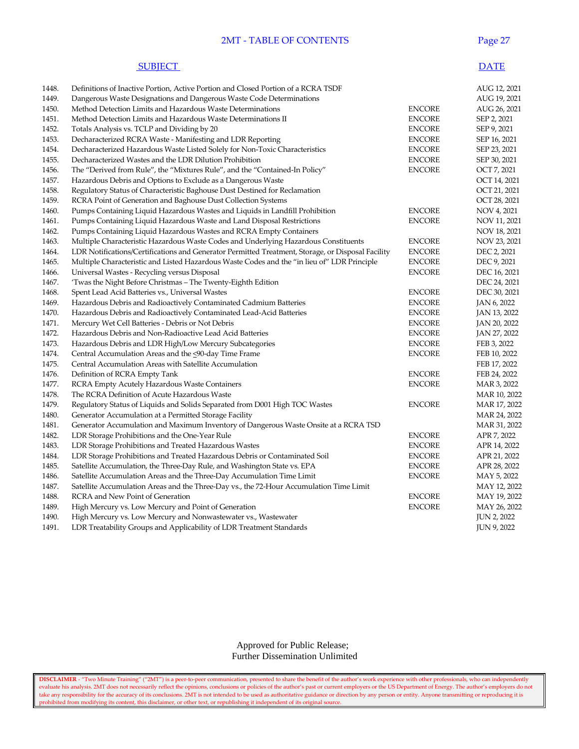### **2MT - TABLE OF CONTENTS** Page

#### **SUBJECT** DATE

| 1448. | Definitions of Inactive Portion, Active Portion and Closed Portion of a RCRA TSDF                 |               | AUG 12, 2021       |
|-------|---------------------------------------------------------------------------------------------------|---------------|--------------------|
| 1449. | Dangerous Waste Designations and Dangerous Waste Code Determinations                              |               | AUG 19, 2021       |
| 1450. | Method Detection Limits and Hazardous Waste Determinations                                        | <b>ENCORE</b> | AUG 26, 2021       |
| 1451. | Method Detection Limits and Hazardous Waste Determinations II                                     | <b>ENCORE</b> | SEP 2, 2021        |
| 1452. | Totals Analysis vs. TCLP and Dividing by 20                                                       | <b>ENCORE</b> | SEP 9, 2021        |
| 1453. | Decharacterized RCRA Waste - Manifesting and LDR Reporting                                        | <b>ENCORE</b> | SEP 16, 2021       |
| 1454. | Decharacterized Hazardous Waste Listed Solely for Non-Toxic Characteristics                       | <b>ENCORE</b> | SEP 23, 2021       |
| 1455. | Decharacterized Wastes and the LDR Dilution Prohibition                                           | <b>ENCORE</b> | SEP 30, 2021       |
| 1456. | The "Derived from Rule", the "Mixtures Rule", and the "Contained-In Policy"                       | <b>ENCORE</b> | OCT 7, 2021        |
| 1457. | Hazardous Debris and Options to Exclude as a Dangerous Waste                                      |               | OCT 14, 2021       |
| 1458. | Regulatory Status of Characteristic Baghouse Dust Destined for Reclamation                        |               | OCT 21, 2021       |
| 1459. | RCRA Point of Generation and Baghouse Dust Collection Systems                                     |               | OCT 28, 2021       |
| 1460. | Pumps Containing Liquid Hazardous Wastes and Liquids in Landfill Prohibition                      | <b>ENCORE</b> | NOV 4, 2021        |
| 1461. | Pumps Containing Liquid Hazardous Waste and Land Disposal Restrictions                            | <b>ENCORE</b> | NOV 11, 2021       |
| 1462. | Pumps Containing Liquid Hazardous Wastes and RCRA Empty Containers                                |               | NOV 18, 2021       |
| 1463. | Multiple Characteristic Hazardous Waste Codes and Underlying Hazardous Constituents               | <b>ENCORE</b> | NOV 23, 2021       |
| 1464. | LDR Notifications/Certifications and Generator Permitted Treatment, Storage, or Disposal Facility | <b>ENCORE</b> | DEC 2, 2021        |
| 1465. | Multiple Characteristic and Listed Hazardous Waste Codes and the "in lieu of" LDR Principle       | <b>ENCORE</b> | DEC 9, 2021        |
| 1466. | Universal Wastes - Recycling versus Disposal                                                      | <b>ENCORE</b> | DEC 16, 2021       |
| 1467. | 'Twas the Night Before Christmas – The Twenty-Eighth Edition                                      |               | DEC 24, 2021       |
| 1468. | Spent Lead Acid Batteries vs., Universal Wastes                                                   | <b>ENCORE</b> | DEC 30, 2021       |
| 1469. | Hazardous Debris and Radioactively Contaminated Cadmium Batteries                                 | <b>ENCORE</b> | JAN 6, 2022        |
| 1470. | Hazardous Debris and Radioactively Contaminated Lead-Acid Batteries                               | <b>ENCORE</b> | JAN 13, 2022       |
| 1471. | Mercury Wet Cell Batteries - Debris or Not Debris                                                 | <b>ENCORE</b> | JAN 20, 2022       |
| 1472. | Hazardous Debris and Non-Radioactive Lead Acid Batteries                                          | <b>ENCORE</b> | JAN 27, 2022       |
| 1473. | Hazardous Debris and LDR High/Low Mercury Subcategories                                           | <b>ENCORE</b> | FEB 3, 2022        |
| 1474. | Central Accumulation Areas and the <90-day Time Frame                                             | <b>ENCORE</b> | FEB 10, 2022       |
| 1475. | Central Accumulation Areas with Satellite Accumulation                                            |               | FEB 17, 2022       |
| 1476. | Definition of RCRA Empty Tank                                                                     | <b>ENCORE</b> | FEB 24, 2022       |
| 1477. | RCRA Empty Acutely Hazardous Waste Containers                                                     | <b>ENCORE</b> | MAR 3, 2022        |
| 1478. | The RCRA Definition of Acute Hazardous Waste                                                      |               | MAR 10, 2022       |
| 1479. | Regulatory Status of Liquids and Solids Separated from D001 High TOC Wastes                       | <b>ENCORE</b> | MAR 17, 2022       |
| 1480. | Generator Accumulation at a Permitted Storage Facility                                            |               | MAR 24, 2022       |
| 1481. | Generator Accumulation and Maximum Inventory of Dangerous Waste Onsite at a RCRA TSD              |               | MAR 31, 2022       |
| 1482. | LDR Storage Prohibitions and the One-Year Rule                                                    | <b>ENCORE</b> | APR 7, 2022        |
| 1483. | LDR Storage Prohibitions and Treated Hazardous Wastes                                             | <b>ENCORE</b> | APR 14, 2022       |
| 1484. | LDR Storage Prohibitions and Treated Hazardous Debris or Contaminated Soil                        | <b>ENCORE</b> | APR 21, 2022       |
| 1485. | Satellite Accumulation, the Three-Day Rule, and Washington State vs. EPA                          | <b>ENCORE</b> | APR 28, 2022       |
| 1486. | Satellite Accumulation Areas and the Three-Day Accumulation Time Limit                            | <b>ENCORE</b> | MAY 5, 2022        |
| 1487. | Satellite Accumulation Areas and the Three-Day vs., the 72-Hour Accumulation Time Limit           |               | MAY 12, 2022       |
| 1488. | RCRA and New Point of Generation                                                                  | <b>ENCORE</b> | MAY 19, 2022       |
| 1489. | High Mercury vs. Low Mercury and Point of Generation                                              | <b>ENCORE</b> | MAY 26, 2022       |
| 1490. | High Mercury vs. Low Mercury and Nonwastewater vs., Wastewater                                    |               | JUN 2, 2022        |
| 1491. | LDR Treatability Groups and Applicability of LDR Treatment Standards                              |               | <b>JUN 9, 2022</b> |
|       |                                                                                                   |               |                    |

 Approved for Public Release; Further Dissemination Unlimited

**DISCLAIMER** - "Two Minute Training" ("2MT") is a peer-to-peer communication, presented to share the benefit of the author's work experience with other professionals, who can independently evaluate his analysis. 2MT does not necessarily reflect the opinions, conclusions or policies of the author's past or current employers or the US Department of Energy. The author's employers do not take any responsibility for the accuracy of its conclusions. 2MT is not intended to be used as authoritative guidance or direction by any person or entity. Anyone transmitting or reproducing it is prohibited from modifying its content, this disclaimer, or other text, or republishing it independent of its original source.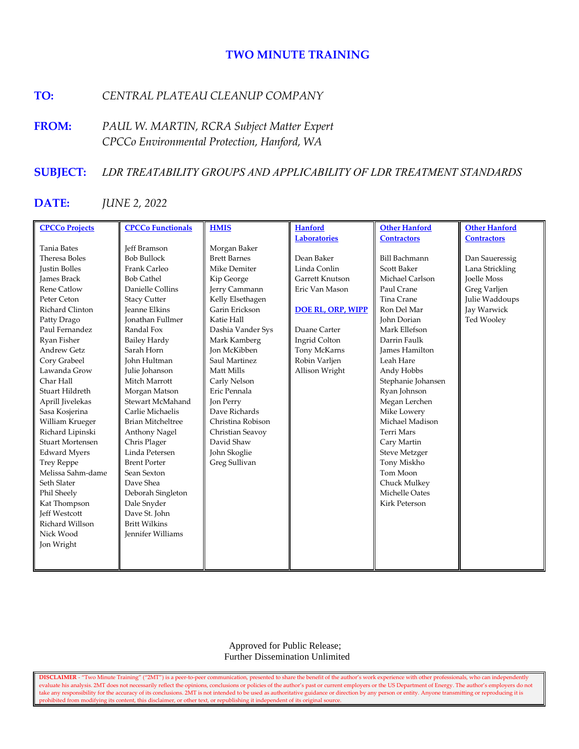# **TWO MINUTE TRAINING**

## **TO:** *CENTRAL PLATEAU CLEANUP COMPANY*

**FROM:** *PAUL W. MARTIN, RCRA Subject Matter Expert CPCCo Environmental Protection, Hanford, WA*

## **SUBJECT:** *LDR TREATABILITY GROUPS AND APPLICABILITY OF LDR TREATMENT STANDARDS*

### **DATE:** *JUNE 2, 2022*

| <b>CPCCo Projects</b>   | <b>CPCCo Functionals</b> | <b>HMIS</b>         | <b>Hanford</b>           | <b>Other Hanford</b>  | <b>Other Hanford</b> |
|-------------------------|--------------------------|---------------------|--------------------------|-----------------------|----------------------|
|                         |                          |                     | <b>Laboratories</b>      | <b>Contractors</b>    | <b>Contractors</b>   |
| <b>Tania Bates</b>      | <b>Jeff Bramson</b>      | Morgan Baker        |                          |                       |                      |
| Theresa Boles           | <b>Bob Bullock</b>       | <b>Brett Barnes</b> | Dean Baker               | <b>Bill Bachmann</b>  | Dan Saueressig       |
| <b>Justin Bolles</b>    | Frank Carleo             | Mike Demiter        | Linda Conlin             | <b>Scott Baker</b>    | Lana Strickling      |
| <b>James Brack</b>      | <b>Bob Cathel</b>        | Kip George          | Garrett Knutson          | Michael Carlson       | <b>Joelle Moss</b>   |
| <b>Rene Catlow</b>      | Danielle Collins         | Jerry Cammann       | Eric Van Mason           | Paul Crane            | Greg Varljen         |
| Peter Ceton             | <b>Stacy Cutter</b>      | Kelly Elsethagen    |                          | Tina Crane            | Julie Waddoups       |
| Richard Clinton         | <b>Jeanne Elkins</b>     | Garin Erickson      | <b>DOE RL, ORP, WIPP</b> | Ron Del Mar           | Jay Warwick          |
| Patty Drago             | <b>Ionathan Fullmer</b>  | Katie Hall          |                          | John Dorian           | Ted Wooley           |
| Paul Fernandez          | Randal Fox               | Dashia Vander Sys   | Duane Carter             | Mark Ellefson         |                      |
| Ryan Fisher             | <b>Bailey Hardy</b>      | Mark Kamberg        | Ingrid Colton            | Darrin Faulk          |                      |
| <b>Andrew Getz</b>      | Sarah Horn               | <b>Ion McKibben</b> | Tony McKarns             | <b>James Hamilton</b> |                      |
| Cory Grabeel            | <b>John Hultman</b>      | Saul Martinez       | Robin Varljen            | Leah Hare             |                      |
| Lawanda Grow            | Julie Johanson           | Matt Mills          | Allison Wright           | Andy Hobbs            |                      |
| Char Hall               | Mitch Marrott            | Carly Nelson        |                          | Stephanie Johansen    |                      |
| Stuart Hildreth         | Morgan Matson            | Eric Pennala        |                          | Ryan Johnson          |                      |
| Aprill Jivelekas        | Stewart McMahand         | Jon Perry           |                          | Megan Lerchen         |                      |
| Sasa Kosjerina          | Carlie Michaelis         | Dave Richards       |                          | Mike Lowery           |                      |
| William Krueger         | <b>Brian Mitcheltree</b> | Christina Robison   |                          | Michael Madison       |                      |
| Richard Lipinski        | Anthony Nagel            | Christian Seavoy    |                          | <b>Terri Mars</b>     |                      |
| <b>Stuart Mortensen</b> | Chris Plager             | David Shaw          |                          | Cary Martin           |                      |
| <b>Edward Myers</b>     | Linda Petersen           | John Skoglie        |                          | <b>Steve Metzger</b>  |                      |
| <b>Trey Reppe</b>       | <b>Brent Porter</b>      | Greg Sullivan       |                          | Tony Miskho           |                      |
| Melissa Sahm-dame       | Sean Sexton              |                     |                          | Tom Moon              |                      |
| Seth Slater             | Dave Shea                |                     |                          | Chuck Mulkey          |                      |
| Phil Sheely             | Deborah Singleton        |                     |                          | Michelle Oates        |                      |
| Kat Thompson            | Dale Snyder              |                     |                          | <b>Kirk Peterson</b>  |                      |
| <b>Jeff Westcott</b>    | Dave St. John            |                     |                          |                       |                      |
| Richard Willson         | <b>Britt Wilkins</b>     |                     |                          |                       |                      |
| Nick Wood               | <b>Jennifer Williams</b> |                     |                          |                       |                      |
| Jon Wright              |                          |                     |                          |                       |                      |
|                         |                          |                     |                          |                       |                      |
|                         |                          |                     |                          |                       |                      |

 Approved for Public Release; Further Dissemination Unlimited

**DISCLAIMER** - "Two Minute Training" ("2MT") is a peer-to-peer communication, presented to share the benefit of the author's work experience with other professionals, who can independently evaluate his analysis. 2MT does not necessarily reflect the opinions, conclusions or policies of the author's past or current employers or the US Department of Energy. The author's employers do not take any responsibility for the accuracy of its conclusions. 2MT is not intended to be used as authoritative guidance or direction by any person or entity. Anyone transmitting or reproducing it is prohibited from modifying its content, this disclaimer, or other text, or republishing it independent of its original source.